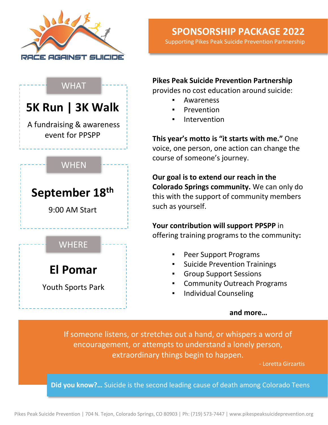

## **SPONSORSHIP PACKAGE 2022**

Supporting Pikes Peak Suicide Prevention Partnership

WHAT **WHEN WHERE 5K Run | 3K Walk** A fundraising & awareness event for PPSPP **El Pomar** Youth Sports Park **September 18th** 9:00 AM Start

**Pikes Peak Suicide Prevention Partnership** 

provides no cost education around suicide:

- **Awareness**
- **Prevention**
- **Intervention**

**This year's motto is "it starts with me."** One voice, one person, one action can change the course of someone's journey.

**Our goal is to extend our reach in the Colorado Springs community.** We can only do this with the support of community members such as yourself.

**Your contribution will support PPSPP** in offering training programs to the community**:** 

- Peer Support Programs
- **Suicide Prevention Trainings**
- **Group Support Sessions**
- **Community Outreach Programs**
- **Individual Counseling**

### **and more…**

If someone listens, or stretches out a hand, or whispers a word of encouragement, or attempts to understand a lonely person, extraordinary things begin to happen.

- Loretta Girzartis

**Did you know?…** Suicide is the second leading cause of death among Colorado Teens